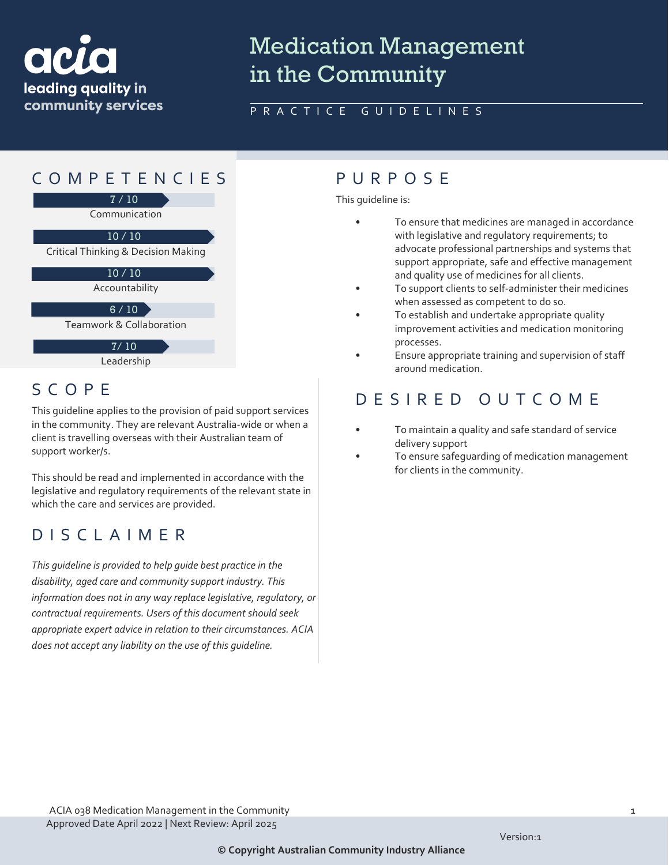

# Medication Management in the Community

### PRACTICE GUIDELINES



Leadership

## SCOPE

This guideline applies to the provision of paid support services in the community. They are relevant Australia-wide or when a client is travelling overseas with their Australian team of support worker/s.

This should be read and implemented in accordance with the legislative and regulatory requirements of the relevant state in which the care and services are provided.

## DISCLAIMER

*This guideline is provided to help guide best practice in the disability, aged care and community support industry. This information does not in any way replace legislative, regulatory, or contractual requirements. Users of this document should seek appropriate expert advice in relation to their circumstances. ACIA does not accept any liability on the use of this guideline.*

This guideline is:

- To ensure that medicines are managed in accordance with legislative and regulatory requirements; to advocate professional partnerships and systems that support appropriate, safe and effective management and quality use of medicines for all clients.
- To support clients to self-administer their medicines when assessed as competent to do so.
- To establish and undertake appropriate quality improvement activities and medication monitoring processes.
- Ensure appropriate training and supervision of staff around medication.

## DESIRED OUTCOME

- To maintain a quality and safe standard of service delivery support
- To ensure safequarding of medication management for clients in the community.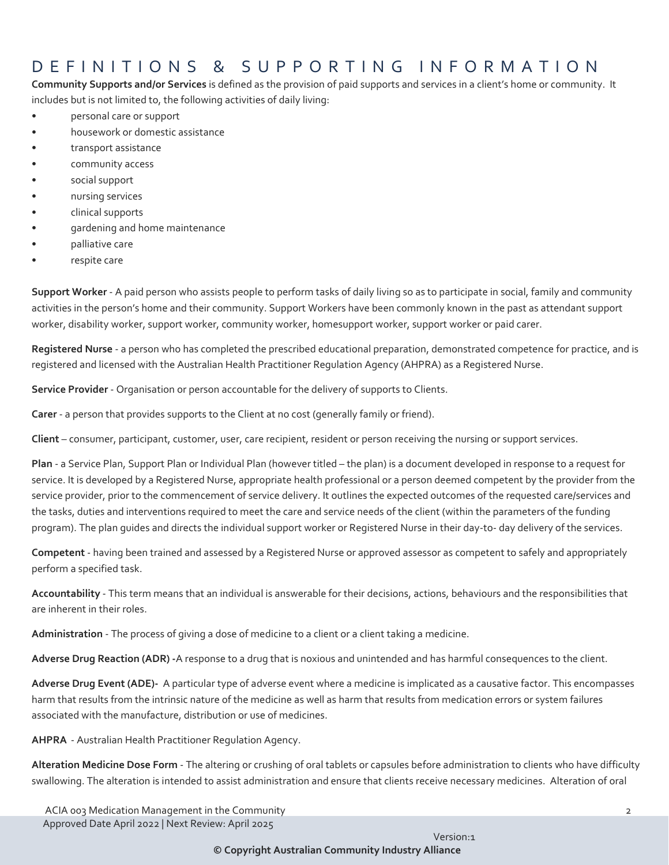## DEFINITIONS & SUPPORTING INFORMATIO N

**Community Supports and/or Services** is defined as the provision of paid supports and services in a client's home or community. It includes but is not limited to, the following activities of daily living:

- personal care or support
- housework or domestic assistance
- transport assistance
- community access
- social support
- nursing services
- clinical supports
- gardening and home maintenance
- palliative care
- respite care

**Support Worker** - A paid person who assists people to perform tasks of daily living so as to participate in social, family and community activities in the person's home and their community. Support Workers have been commonly known in the past as attendant support worker, disability worker, support worker, community worker, homesupport worker, support worker or paid carer.

**Registered Nurse** - a person who has completed the prescribed educational preparation, demonstrated competence for practice, and is registered and licensed with the Australian Health Practitioner Regulation Agency (AHPRA) as a Registered Nurse.

**Service Provider** - Organisation or person accountable for the delivery of supports to Clients.

**Carer** - a person that provides supports to the Client at no cost (generally family or friend).

**Client** – consumer, participant, customer, user, care recipient, resident or person receiving the nursing or support services.

**Plan** - a Service Plan, Support Plan or Individual Plan (however titled – the plan) is a document developed in response to a request for service. It is developed by a Registered Nurse, appropriate health professional or a person deemed competent by the provider from the service provider, prior to the commencement of service delivery. It outlines the expected outcomes of the requested care/services and the tasks, duties and interventions required to meet the care and service needs of the client (within the parameters of the funding program). The plan guides and directs the individual support worker or Registered Nurse in their day-to- day delivery of the services.

**Competent** - having been trained and assessed by a Registered Nurse or approved assessor as competent to safely and appropriately perform a specified task.

**Accountability** - This term means that an individual is answerable for their decisions, actions, behaviours and the responsibilities that are inherent in their roles.

Administration - The process of giving a dose of medicine to a client or a client taking a medicine.

**Adverse Drug Reaction (ADR) -**A response to a drug that is noxious and unintended and has harmful consequences to the client.

**Adverse Drug Event (ADE)-** A particular type of adverse event where a medicine is implicated as a causative factor. This encompasses harm that results from the intrinsic nature of the medicine as well as harm that results from medication errors or system failures associated with the manufacture, distribution or use of medicines.

**AHPRA** - Australian Health Practitioner Regulation Agency.

**Alteration Medicine Dose Form** - The altering or crushing of oral tablets or capsules before administration to clients who have difficulty swallowing. The alteration is intended to assist administration and ensure that clients receive necessary medicines. Alteration of oral

**© Copyright Australian Community Industry Alliance**

ACIA 003 Medication Management in the Community 2008 2009 2012 2022 2023 2024 2022 2023 2024 2022 2023 2024 2022 2023 2024 2022 2023 2024 2022 2023 2022 2023 2024 2022 2023 2024 2022 2023 2022 2023 2022 2023 2022 2023 2023 Approved Date April 2022 | Next Review: April 2025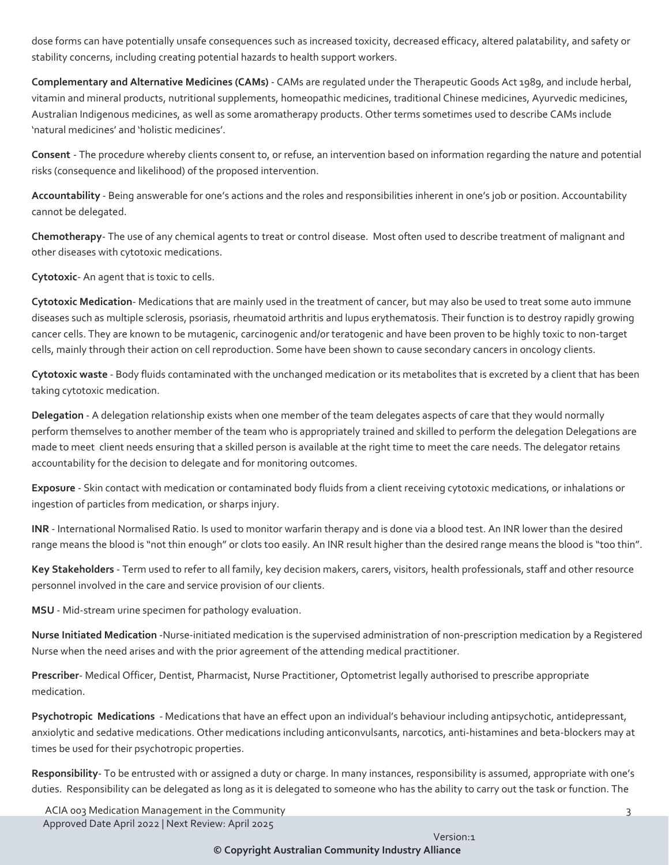dose forms can have potentially unsafe consequences such as increased toxicity, decreased efficacy, altered palatability, and safety or stability concerns, including creating potential hazards to health support workers.

**Complementary and Alternative Medicines (CAMs)** - CAMs are regulated under the Therapeutic Goods Act 1989, and include herbal, vitamin and mineral products, nutritional supplements, homeopathic medicines, traditional Chinese medicines, Ayurvedic medicines, Australian Indigenous medicines, as well as some aromatherapy products. Other terms sometimes used to describe CAMs include 'natural medicines' and 'holistic medicines'.

**Consent** - The procedure whereby clients consent to, or refuse, an intervention based on information regarding the nature and potential risks (consequence and likelihood) of the proposed intervention.

**Accountability** - Being answerable for one's actions and the roles and responsibilities inherent in one's job or position. Accountability cannot be delegated.

**Chemotherapy**- The use of any chemical agents to treat or control disease. Most often used to describe treatment of malignant and other diseases with cytotoxic medications.

**Cytotoxic**- An agent that is toxic to cells.

**Cytotoxic Medication**- Medications that are mainly used in the treatment of cancer, but may also be used to treat some auto immune diseases such as multiple sclerosis, psoriasis, rheumatoid arthritis and lupus erythematosis. Their function is to destroy rapidly growing cancer cells. They are known to be mutagenic, carcinogenic and/or teratogenic and have been proven to be highly toxic to non-target cells, mainly through their action on cell reproduction. Some have been shown to cause secondary cancers in oncology clients.

**Cytotoxic waste** - Body fluids contaminated with the unchanged medication or its metabolites that is excreted by a client that has been taking cytotoxic medication.

**Delegation** - A delegation relationship exists when one member of the team delegates aspects of care that they would normally perform themselves to another member of the team who is appropriately trained and skilled to perform the delegation Delegations are made to meet client needs ensuring that a skilled person is available at the right time to meet the care needs. The delegator retains accountability for the decision to delegate and for monitoring outcomes.

**Exposure** - Skin contact with medication or contaminated body fluids from a client receiving cytotoxic medications, or inhalations or ingestion of particles from medication, or sharps injury.

**INR** - International Normalised Ratio. Is used to monitor warfarin therapy and is done via a blood test. An INR lower than the desired range means the blood is "not thin enough" or clots too easily. An INR result higher than the desired range means the blood is "too thin".

**Key Stakeholders** - Term used to refer to all family, key decision makers, carers, visitors, health professionals, staff and other resource personnel involved in the care and service provision of our clients.

**MSU** - Mid-stream urine specimen for pathology evaluation.

**Nurse Initiated Medication** -Nurse-initiated medication is the supervised administration of non-prescription medication by a Registered Nurse when the need arises and with the prior agreement of the attending medical practitioner.

**Prescriber**- Medical Officer, Dentist, Pharmacist, Nurse Practitioner, Optometrist legally authorised to prescribe appropriate medication.

**Psychotropic Medications** - Medications that have an effect upon an individual's behaviour including antipsychotic, antidepressant, anxiolytic and sedative medications. Other medications including anticonvulsants, narcotics, anti-histamines and beta-blockers may at times be used for their psychotropic properties.

**Responsibility**- To be entrusted with or assigned a duty or charge. In many instances, responsibility is assumed, appropriate with one's duties. Responsibility can be delegated as long as it is delegated to someone who has the ability to carry out the task or function. The

ACIA 003 Medication Management in the Community 33 Approved Date April 2022 | Next Review: April 2025

**© Copyright Australian Community Industry Alliance**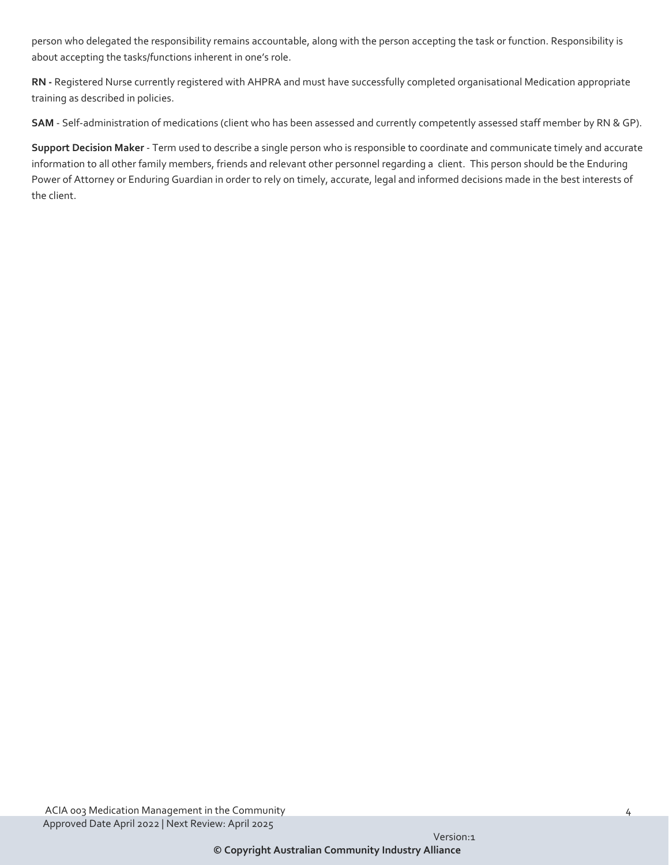person who delegated the responsibility remains accountable, along with the person accepting the task or function. Responsibility is about accepting the tasks/functions inherent in one's role.

**RN -** Registered Nurse currently registered with AHPRA and must have successfully completed organisational Medication appropriate training as described in policies.

**SAM** - Self-administration of medications (client who has been assessed and currently competently assessed staff member by RN & GP).

**Support Decision Maker** - Term used to describe a single person who is responsible to coordinate and communicate timely and accurate information to all other family members, friends and relevant other personnel regarding a client. This person should be the Enduring Power of Attorney or Enduring Guardian in order to rely on timely, accurate, legal and informed decisions made in the best interests of the client.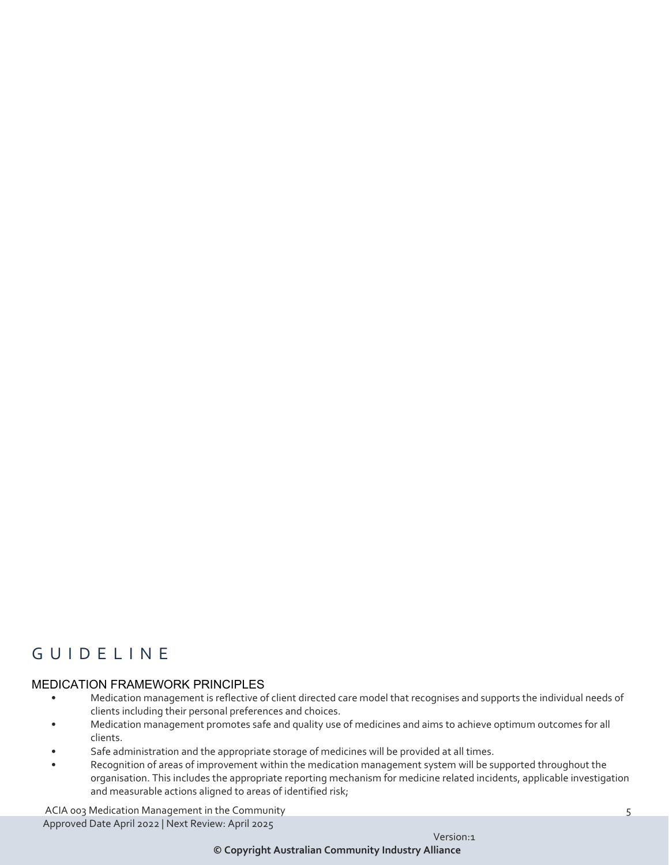## G UIDELINE

#### MEDICATION FRAMEWORK PRINCIPLES

- Medication management is reflective of client directed care model that recognises and supports the individual needs of clients including their personal preferences and choices.
- Medication management promotes safe and quality use of medicines and aims to achieve optimum outcomes for all clients.
- Safe administration and the appropriate storage of medicines will be provided at all times.
- Recognition of areas of improvement within the medication management system will be supported throughout the organisation. This includes the appropriate reporting mechanism for medicine related incidents, applicable investigation and measurable actions aligned to areas of identified risk;

ACIA 003 Medication Management in the Community 6 and 100 minutes of the Community 5 and 100 minutes of the SM Approved Date April 2022 | Next Review: April 2025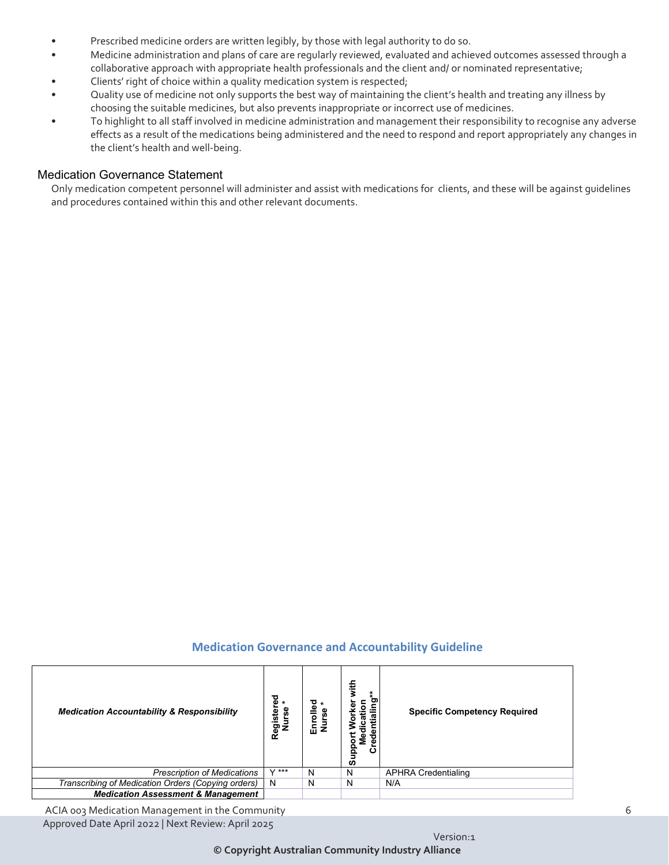- Prescribed medicine orders are written legibly, by those with legal authority to do so.
- Medicine administration and plans of care are regularly reviewed, evaluated and achieved outcomes assessed through a collaborative approach with appropriate health professionals and the client and/ or nominated representative;
- Clients' right of choice within a quality medication system is respected;
- Quality use of medicine not only supports the best way of maintaining the client's health and treating any illness by choosing the suitable medicines, but also prevents inappropriate or incorrect use of medicines.
- To highlight to all staff involved in medicine administration and management their responsibility to recognise any adverse effects as a result of the medications being administered and the need to respond and report appropriately any changes in the client's health and well-being.

#### Medication Governance Statement

Only medication competent personnel will administer and assist with medications for clients, and these will be against guidelines and procedures contained within this and other relevant documents.

#### **Medication Governance and Accountability Guideline**

| <b>Medication Accountability &amp; Responsibility</b> | Registered<br>Nurse * | ш | with<br>ဥ<br>ē<br>≅<br>٠<br>Φ<br>Φ<br><u>s</u><br>Σ<br>Φ<br>ပ<br>훀<br>ø | <b>Specific Competency Required</b> |
|-------------------------------------------------------|-----------------------|---|-------------------------------------------------------------------------|-------------------------------------|
| <b>Prescription of Medications</b>                    | $V$ ***               | N | N                                                                       | APHRA Credentialing                 |
| Transcribing of Medication Orders (Copying orders)    | N                     | N | N                                                                       | N/A                                 |
| <b>Medication Assessment &amp; Management</b>         |                       |   |                                                                         |                                     |

ACIA 003 Medication Management in the Community 6 and 100 metal of the Community 6 and 100 metal 6 and 100 metal 6 and 100 metal 6 and 100 metal 6 and 100 metal 6 and 100 metal 6 and 100 metal 6 and 100 metal 6 and 100 met Approved Date April 2022 | Next Review: April 2025

**© Copyright Australian Community Industry Alliance**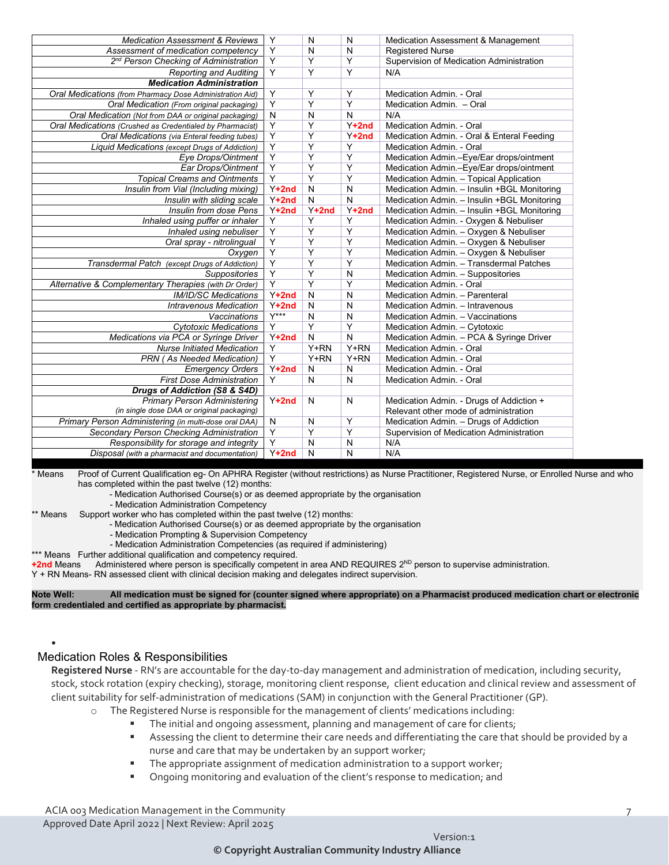| <b>Medication Assessment &amp; Reviews</b>               | Y                       | N                       | $\mathsf{N}$            | Medication Assessment & Management          |
|----------------------------------------------------------|-------------------------|-------------------------|-------------------------|---------------------------------------------|
| Assessment of medication competency                      | Y                       | N                       | $\mathsf{N}$            | <b>Registered Nurse</b>                     |
| 2 <sup>nd</sup> Person Checking of Administration        | $\overline{\mathsf{Y}}$ | $\overline{Y}$          | $\overline{\mathsf{Y}}$ | Supervision of Medication Administration    |
| <b>Reporting and Auditing</b>                            | $\overline{Y}$          | Y                       | $\overline{Y}$          | N/A                                         |
| <b>Medication Administration</b>                         |                         |                         |                         |                                             |
| Oral Medications (from Pharmacy Dose Administration Aid) | Y                       | Y                       | Y                       | Medication Admin. - Oral                    |
| Oral Medication (From original packaging)                | Y                       | Y                       | Y                       | Medication Admin. - Oral                    |
| Oral Medication (Not from DAA or original packaging)     | N                       | N                       | N                       | N/A                                         |
| Oral Medications (Crushed as Credentialed by Pharmacist) | Y                       | Υ                       | $Y+2nd$                 | Medication Admin. - Oral                    |
| Oral Medications (via Enteral feeding tubes)             | $\overline{\mathsf{Y}}$ | Y                       | $Y+2nd$                 | Medication Admin. - Oral & Enteral Feeding  |
| Liquid Medications (except Drugs of Addiction)           | $\overline{\mathsf{Y}}$ | $\overline{Y}$          | $\overline{Y}$          | Medication Admin. - Oral                    |
| Eye Drops/Ointment                                       | Y                       | Y                       | Y                       | Medication Admin.-Eye/Ear drops/ointment    |
| Ear Drops/Ointment                                       | Y                       | Y                       | Y                       | Medication Admin.-Eye/Ear drops/ointment    |
| <b>Topical Creams and Ointments</b>                      | Y                       | Υ                       | Υ                       | Medication Admin. - Topical Application     |
| Insulin from Vial (Including mixing)                     | $Y+2nd$                 | N                       | N                       | Medication Admin. - Insulin +BGL Monitoring |
| Insulin with sliding scale                               | $Y+2nd$                 | ${\sf N}$               | $\overline{\mathsf{N}}$ | Medication Admin. - Insulin +BGL Monitoring |
| Insulin from dose Pens                                   | $Y+2nd$                 | $Y+2nd$                 | $Y+2nd$                 | Medication Admin. - Insulin +BGL Monitoring |
| Inhaled using puffer or inhaler                          | $\overline{\mathsf{Y}}$ | $\overline{Y}$          | $\overline{Y}$          | Medication Admin. - Oxygen & Nebuliser      |
| Inhaled using nebuliser                                  | Y                       | Y                       | $\overline{Y}$          | Medication Admin. - Oxygen & Nebuliser      |
| Oral spray - nitrolingual                                | Υ                       | Y                       | Y                       | Medication Admin. - Oxygen & Nebuliser      |
| Oxygen                                                   | Υ                       | Υ                       | Υ                       | Medication Admin. - Oxygen & Nebuliser      |
| Transdermal Patch (except Drugs of Addiction)            | Y                       | Υ                       | Y                       | Medication Admin. - Transdermal Patches     |
| Suppositories                                            | Y                       | Y                       | N                       | Medication Admin. - Suppositories           |
| Alternative & Complementary Therapies (with Dr Order)    | $\overline{\mathsf{Y}}$ | $\overline{\mathsf{Y}}$ | $\overline{\mathsf{Y}}$ | Medication Admin. - Oral                    |
| <b>IM/ID/SC Medications</b>                              | $Y+2nd$                 | $\overline{N}$          | $\overline{N}$          | Medication Admin. - Parenteral              |
| <b>Intravenous Medication</b>                            | $Y+2nd$                 | N                       | N                       | Medication Admin. - Intravenous             |
| <b>Vaccinations</b>                                      | $Y***$                  | N                       | N                       | Medication Admin. - Vaccinations            |
| <b>Cytotoxic Medications</b>                             | Y                       | Y                       | Υ                       | Medication Admin. - Cytotoxic               |
| Medications via PCA or Syringe Driver                    | $Y+2nd$                 | N                       | N                       | Medication Admin. - PCA & Syringe Driver    |
| <b>Nurse Initiated Medication</b>                        | Υ                       | Y+RN                    | $Y+RN$                  | Medication Admin. - Oral                    |
| <b>PRN</b> (As Needed Medication)                        | $\overline{Y}$          | $Y+RN$                  | Y+RN                    | Medication Admin. - Oral                    |
| <b>Emergency Orders</b>                                  | $Y+2nd$                 | N                       | $\overline{N}$          | Medication Admin. - Oral                    |
| <b>First Dose Administration</b>                         | $\overline{Y}$          | N                       | N                       | Medication Admin. - Oral                    |
| Drugs of Addiction (S8 & S4D)                            |                         |                         |                         |                                             |
| <b>Primary Person Administering</b>                      | $Y+2nd$                 | N                       | $\mathsf{N}$            | Medication Admin. - Drugs of Addiction +    |
| (in single dose DAA or original packaging)               |                         |                         |                         | Relevant other mode of administration       |
| Primary Person Administering (in multi-dose oral DAA)    | N                       | N                       | $\overline{Y}$          | Medication Admin. - Drugs of Addiction      |
| Secondary Person Checking Administration                 | $\overline{Y}$          | $\overline{Y}$          | $\overline{\mathsf{Y}}$ | Supervision of Medication Administration    |
| Responsibility for storage and integrity                 | Y                       | N                       | N                       | N/A                                         |
| Disposal (with a pharmacist and documentation)           | $Y+2nd$                 | N                       | N                       | N/A                                         |

**KEY** \* Means Proof of Current Qualification eg- On APHRA Register (without restrictions) as Nurse Practitioner, Registered Nurse, or Enrolled Nurse and who has completed within the past twelve (12) months:

- Medication Authorised Course(s) or as deemed appropriate by the organisation

- Medication Administration Competency

\*\* Means Support worker who has completed within the past twelve (12) months:

- Medication Authorised Course(s) or as deemed appropriate by the organisation

- Medication Prompting & Supervision Competency

- Medication Administration Competencies (as required if administering)

\*\*\* Means Further additional qualification and competency required.

+2nd Means Administered where person is specifically competent in area AND REQUIRES 2<sup>ND</sup> person to supervise administration.

Y + RN Means- RN assessed client with clinical decision making and delegates indirect supervision.

**Note Well: All medication must be signed for (counter signed where appropriate) on a Pharmacist produced medication chart or electronic form credentialed and certified as appropriate by pharmacist.**

#### Medication Roles & Responsibilities

•

**Registered Nurse** - RN's are accountable for the day-to-day management and administration of medication, including security, stock, stock rotation (expiry checking), storage, monitoring client response, client education and clinical review and assessment of client suitability for self-administration of medications (SAM) in conjunction with the General Practitioner (GP).

- o The Registered Nurse is responsible for the management of clients' medications including:
	- The initial and ongoing assessment, planning and management of care for clients;
	- Assessing the client to determine their care needs and differentiating the care that should be provided by a nurse and care that may be undertaken by an support worker;
	- The appropriate assignment of medication administration to a support worker;
	- **•** Ongoing monitoring and evaluation of the client's response to medication; and

ACIA 003 Medication Management in the Community 7 and 2008 and 2008 and 2008 and 2008 and 2008 and 2008 and 200 Approved Date April 2022 | Next Review: April 2025

Version:1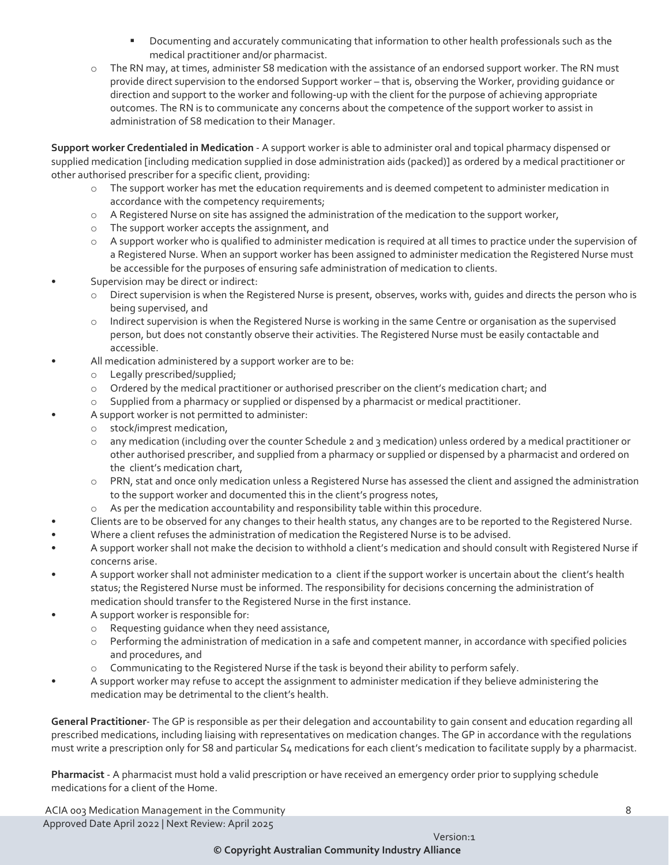- **Documenting and accurately communicating that information to other health professionals such as the** medical practitioner and/or pharmacist.
- o The RN may, at times, administer S8 medication with the assistance of an endorsed support worker. The RN must provide direct supervision to the endorsed Support worker – that is, observing the Worker, providing guidance or direction and support to the worker and following-up with the client for the purpose of achieving appropriate outcomes. The RN is to communicate any concerns about the competence of the support worker to assist in administration of S8 medication to their Manager.

**Support worker Credentialed in Medication** - A support worker is able to administer oral and topical pharmacy dispensed or supplied medication [including medication supplied in dose administration aids (packed)] as ordered by a medical practitioner or other authorised prescriber for a specific client, providing:

- o The support worker has met the education requirements and is deemed competent to administer medication in accordance with the competency requirements;
- o A Registered Nurse on site has assigned the administration of the medication to the support worker,
- o The support worker accepts the assignment, and
- o A support worker who is qualified to administer medication is required at all times to practice under the supervision of a Registered Nurse. When an support worker has been assigned to administer medication the Registered Nurse must be accessible for the purposes of ensuring safe administration of medication to clients.
- Supervision may be direct or indirect:
	- o Direct supervision is when the Registered Nurse is present, observes, works with, guides and directs the person who is being supervised, and
	- o Indirect supervision is when the Registered Nurse is working in the same Centre or organisation as the supervised person, but does not constantly observe their activities. The Registered Nurse must be easily contactable and accessible.
- All medication administered by a support worker are to be:
	- o Legally prescribed/supplied;
	- o Ordered by the medical practitioner or authorised prescriber on the client's medication chart; and
	- o Supplied from a pharmacy or supplied or dispensed by a pharmacist or medical practitioner.
	- A support worker is not permitted to administer:
	- o stock/imprest medication,
	- o any medication (including over the counter Schedule 2 and 3 medication) unless ordered by a medical practitioner or other authorised prescriber, and supplied from a pharmacy or supplied or dispensed by a pharmacist and ordered on the client's medication chart,
	- o PRN, stat and once only medication unless a Registered Nurse has assessed the client and assigned the administration to the support worker and documented this in the client's progress notes,
	- o As per the medication accountability and responsibility table within this procedure.
- Clients are to be observed for any changes to their health status, any changes are to be reported to the Registered Nurse.
- Where a client refuses the administration of medication the Registered Nurse is to be advised.
- A support worker shall not make the decision to withhold a client's medication and should consult with Registered Nurse if concerns arise.
- A support worker shall not administer medication to a client if the support worker is uncertain about the client's health status; the Registered Nurse must be informed. The responsibility for decisions concerning the administration of medication should transfer to the Registered Nurse in the first instance.
- A support worker is responsible for:
	- o Requesting guidance when they need assistance,
	- o Performing the administration of medication in a safe and competent manner, in accordance with specified policies and procedures, and
	- o Communicating to the Registered Nurse if the task is beyond their ability to perform safely.
- A support worker may refuse to accept the assignment to administer medication if they believe administering the medication may be detrimental to the client's health.

**General Practitioner**- The GP is responsible as per their delegation and accountability to gain consent and education regarding all prescribed medications, including liaising with representatives on medication changes. The GP in accordance with the regulations must write a prescription only for S8 and particular S4 medications for each client's medication to facilitate supply by a pharmacist.

**Pharmacist** - A pharmacist must hold a valid prescription or have received an emergency order prior to supplying schedule medications for a client of the Home.

ACIA 003 Medication Management in the Community 8 Approved Date April 2022 | Next Review: April 2025

**© Copyright Australian Community Industry Alliance**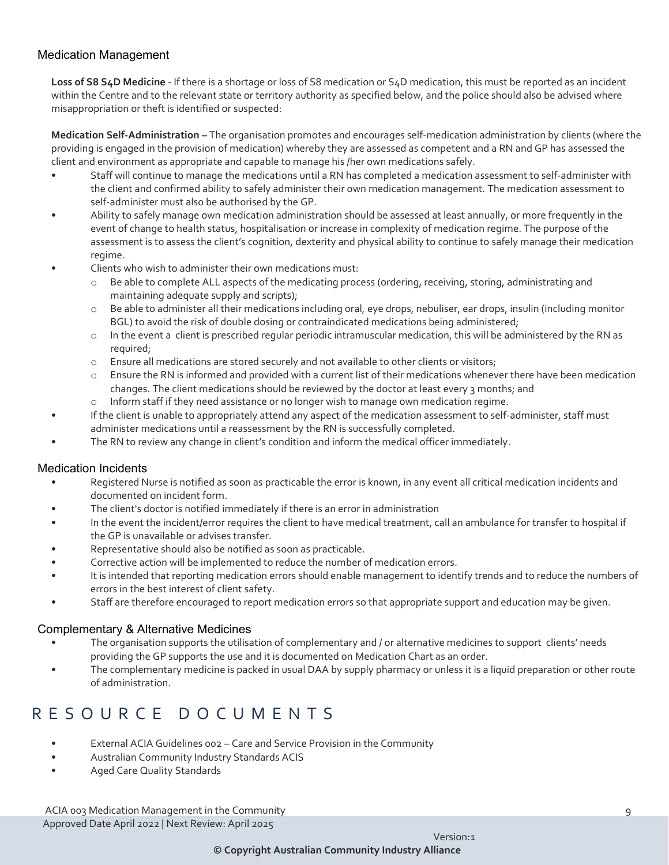#### Medication Management

**Loss of S8 S4D Medicine** - If there is a shortage or loss of S8 medication or S4D medication, this must be reported as an incident within the Centre and to the relevant state or territory authority as specified below, and the police should also be advised where misappropriation or theft is identified or suspected:

**Medication Self-Administration –** The organisation promotes and encourages self-medication administration by clients (where the providing is engaged in the provision of medication) whereby they are assessed as competent and a RN and GP has assessed the client and environment as appropriate and capable to manage his /her own medications safely.

- Staff will continue to manage the medications until a RN has completed a medication assessment to self-administer with the client and confirmed ability to safely administer their own medication management. The medication assessment to self-administer must also be authorised by the GP.
- Ability to safely manage own medication administration should be assessed at least annually, or more frequently in the event of change to health status, hospitalisation or increase in complexity of medication regime. The purpose of the assessment is to assess the client's cognition, dexterity and physical ability to continue to safely manage their medication regime.
	- Clients who wish to administer their own medications must:
		- o Be able to complete ALL aspects of the medicating process (ordering, receiving, storing, administrating and maintaining adequate supply and scripts);
		- $\circ$  Be able to administer all their medications including oral, eye drops, nebuliser, ear drops, insulin (including monitor BGL) to avoid the risk of double dosing or contraindicated medications being administered;
		- o In the event a client is prescribed regular periodic intramuscular medication, this will be administered by the RN as required;
		- o Ensure all medications are stored securely and not available to other clients or visitors;
		- $\circ$  Ensure the RN is informed and provided with a current list of their medications whenever there have been medication changes. The client medications should be reviewed by the doctor at least every 3 months; and
		- o Inform staff if they need assistance or no longer wish to manage own medication regime.
- If the client is unable to appropriately attend any aspect of the medication assessment to self-administer, staff must administer medications until a reassessment by the RN is successfully completed.
- The RN to review any change in client's condition and inform the medical officer immediately.

#### Medication Incidents

- Registered Nurse is notified as soon as practicable the error is known, in any event all critical medication incidents and documented on incident form.
- The client's doctor is notified immediately if there is an error in administration
- In the event the incident/error requires the client to have medical treatment, call an ambulance for transfer to hospital if the GP is unavailable or advises transfer.
- Representative should also be notified as soon as practicable.
- Corrective action will be implemented to reduce the number of medication errors.
- It is intended that reporting medication errors should enable management to identify trends and to reduce the numbers of errors in the best interest of client safety.
- Staff are therefore encouraged to report medication errors so that appropriate support and education may be given.

#### Complementary & Alternative Medicines

- The organisation supports the utilisation of complementary and / or alternative medicines to support clients' needs providing the GP supports the use and it is documented on Medication Chart as an order.
- The complementary medicine is packed in usual DAA by supply pharmacy or unless it is a liquid preparation or other route of administration.

**© Copyright Australian Community Industry Alliance**

## RESOURCE DOCUMENTS

- External ACIA Guidelines 002 Care and Service Provision in the Community
- Australian Community Industry Standards ACIS
- Aged Care Quality Standards

ACIA 003 Medication Management in the Community 9 Approved Date April 2022 | Next Review: April 2025